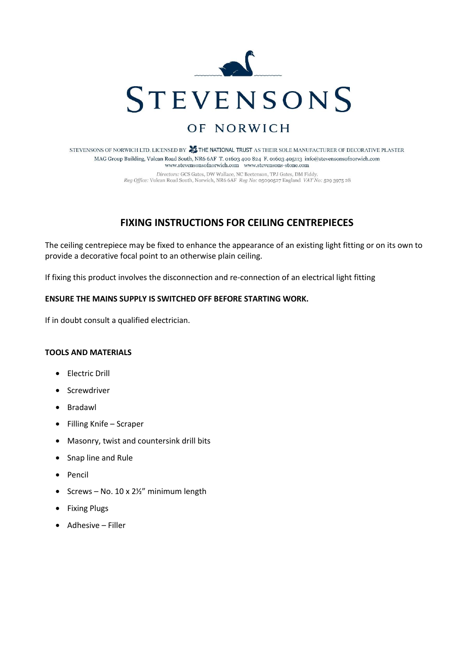

# OF NORWICH

STEVENSONS OF NORWICH LTD. LICENSED BY **ALL THE NATIONAL TRUST** AS THEIR SOLE MANUFACTURER OF DECORATIVE PLASTER MAG Group Building, Vulcan Road South, NR6 6AF T. 01603 400 824 F. 01603 405113 info@stevensonsofnorwich.com www.stevensonsofnorwich.com www.stevensons-stone.com Directors: GCS Gates, DW Wallace, NC Beetenson, TPJ Gates, DM Fiddy. Reg Office: Vulcan Road South, Norwich, NR6 6AF Reg No: 05090527 England VAT No: 529 3975 28

## **FIXING INSTRUCTIONS FOR CEILING CENTREPIECES**

The ceiling centrepiece may be fixed to enhance the appearance of an existing light fitting or on its own to provide a decorative focal point to an otherwise plain ceiling.

If fixing this product involves the disconnection and re-connection of an electrical light fitting

### **ENSURE THE MAINS SUPPLY IS SWITCHED OFF BEFORE STARTING WORK.**

If in doubt consult a qualified electrician.

#### **TOOLS AND MATERIALS**

- Electric Drill
- Screwdriver
- Bradawl
- Filling Knife Scraper
- Masonry, twist and countersink drill bits
- Snap line and Rule
- Pencil
- Screws No. 10 x 2½" minimum length
- Fixing Plugs
- Adhesive Filler